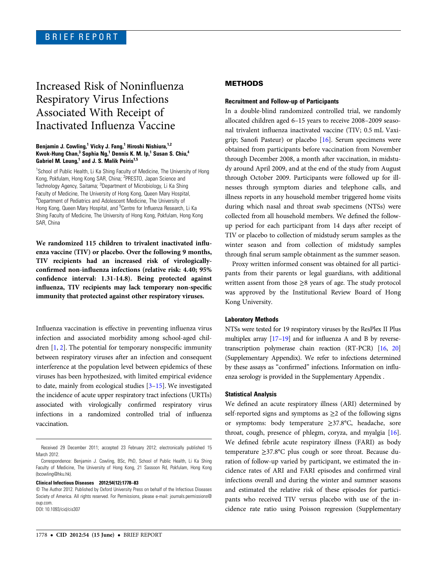# Increased Risk of Noninfluenza Respiratory Virus Infections Associated With Receipt of Inactivated Influenza Vaccine

## Benjamin J. Cowling,<sup>1</sup> Vicky J. Fang,<sup>1</sup> Hiroshi Nishiura,<sup>1,2</sup> Kwok-Hung Chan,<sup>3</sup> Sophia Ng,<sup>1</sup> Dennis K. M. Ip,<sup>1</sup> Susan S. Chiu,<sup>4</sup> Gabriel M. Leung, $1$  and J. S. Malik Peiris $1.5$

<sup>1</sup>School of Public Health, Li Ka Shing Faculty of Medicine, The University of Hong Kong, Pokfulam, Hong Kong SAR, China; <sup>2</sup>PRESTO, Japan Science and Technology Agency, Saitama; <sup>3</sup>Department of Microbiology, Li Ka Shing Faculty of Medicine, The University of Hong Kong, Queen Mary Hospital, <sup>4</sup>Department of Pediatrics and Adolescent Medicine, The University of Hong Kong, Queen Mary Hospital, and <sup>5</sup>Centre for Influenza Research, Li Ka Shing Faculty of Medicine, The University of Hong Kong, Pokfulam, Hong Kong SAR, China

We randomized 115 children to trivalent inactivated influenza vaccine (TIV) or placebo. Over the following 9 months, TIV recipients had an increased risk of virologicallyconfirmed non-influenza infections (relative risk: 4.40; 95% confidence interval: 1.31-14.8). Being protected against influenza, TIV recipients may lack temporary non-specific immunity that protected against other respiratory viruses.

Influenza vaccination is effective in preventing influenza virus infection and associated morbidity among school-aged children [[1](#page-4-0), [2\]](#page-4-0). The potential for temporary nonspecific immunity between respiratory viruses after an infection and consequent interference at the population level between epidemics of these viruses has been hypothesized, with limited empirical evidence to date, mainly from ecological studies [[3](#page-4-0)–[15\]](#page-4-0). We investigated the incidence of acute upper respiratory tract infections (URTIs) associated with virologically confirmed respiratory virus infections in a randomized controlled trial of influenza vaccination.

#### Clinical Infectious Diseases 2012;54(12):1778–83

## METHODS

#### Recruitment and Follow-up of Participants

In a double-blind randomized controlled trial, we randomly allocated children aged 6–15 years to receive 2008–2009 seasonal trivalent influenza inactivated vaccine (TIV; 0.5 mL Vaxigrip; Sanofi Pasteur) or placebo [[16\]](#page-4-0). Serum specimens were obtained from participants before vaccination from November through December 2008, a month after vaccination, in midstudy around April 2009, and at the end of the study from August through October 2009. Participants were followed up for illnesses through symptom diaries and telephone calls, and illness reports in any household member triggered home visits during which nasal and throat swab specimens (NTSs) were collected from all household members. We defined the followup period for each participant from 14 days after receipt of TIV or placebo to collection of midstudy serum samples as the winter season and from collection of midstudy samples through final serum sample obtainment as the summer season.

Proxy written informed consent was obtained for all participants from their parents or legal guardians, with additional written assent from those ≥8 years of age. The study protocol was approved by the Institutional Review Board of Hong Kong University.

## Laboratory Methods

NTSs were tested for 19 respiratory viruses by the ResPlex II Plus multiplex array [[17](#page-4-0)–[19\]](#page-4-0) and for influenza A and B by reversetranscription polymerase chain reaction (RT-PCR) [\[16](#page-4-0), [20\]](#page-4-0) [\(Supplementary Appendix](http://cid.oxfordjournals.org/lookup/suppl/doi:10.1093/cid/cis307/-/DC1)). We refer to infections determined by these assays as "confirmed" infections. Information on influenza serology is provided in the [Supplementary Appendix](http://cid.oxfordjournals.org/lookup/suppl/doi:10.1093/cid/cis307/-/DC1) .

## Statistical Analysis

We defined an acute respiratory illness (ARI) determined by self-reported signs and symptoms as  $\geq 2$  of the following signs or symptoms: body temperature ≥37.8°C, headache, sore throat, cough, presence of phlegm, coryza, and myalgia [\[16\]](#page-4-0). We defined febrile acute respiratory illness (FARI) as body temperature ≥37.8°C plus cough or sore throat. Because duration of follow-up varied by participant, we estimated the incidence rates of ARI and FARI episodes and confirmed viral infections overall and during the winter and summer seasons and estimated the relative risk of these episodes for participants who received TIV versus placebo with use of the incidence rate ratio using Poisson regression ([Supplementary](http://cid.oxfordjournals.org/lookup/suppl/doi:10.1093/cid/cis307/-/DC1)

Received 29 December 2011; accepted 23 February 2012; electronically published 15 March 2012.

Correspondence: Benjamin J. Cowling, BSc, PhD, School of Public Health, Li Ka Shing Faculty of Medicine, The University of Hong Kong, 21 Sassoon Rd, Pokfulam, Hong Kong (bcowling@hku.hk).

<sup>©</sup> The Author 2012. Published by Oxford University Press on behalf of the Infectious Diseases Society of America. All rights reserved. For Permissions, please e-mail: journals.permissions@ oup.com. DOI: 10.1093/cid/cis307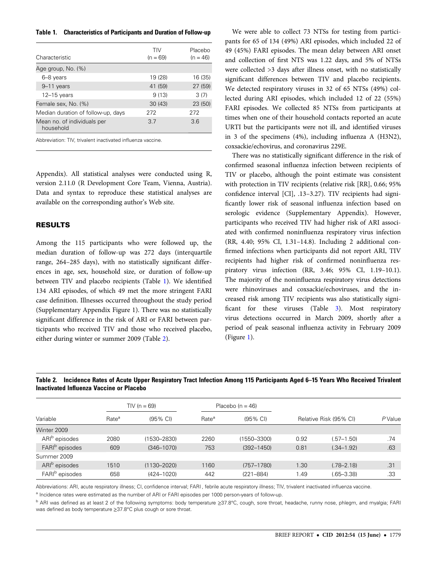<span id="page-1-0"></span>Table 1. Characteristics of Participants and Duration of Follow-up

| Characteristic                           | TIV<br>$(n = 69)$ | Placebo<br>$(n = 46)$ |
|------------------------------------------|-------------------|-----------------------|
| Age group, No. (%)                       |                   |                       |
| 6-8 years                                | 19 (28)           | 16 (35)               |
| 9-11 years                               | 41 (59)           | 27 (59)               |
| $12 - 15$ years                          | 9(13)             | 3(7)                  |
| Female sex, No. (%)                      | 30(43)            | 23 (50)               |
| Median duration of follow-up, days       | 272               | 272                   |
| Mean no. of individuals per<br>household | 37                | 3.6                   |
|                                          |                   |                       |

Abbreviation: TIV, trivalent inactivated influenza vaccine.

[Appendix](http://cid.oxfordjournals.org/lookup/suppl/doi:10.1093/cid/cis307/-/DC1)). All statistical analyses were conducted using R, version 2.11.0 (R Development Core Team, Vienna, Austria). Data and syntax to reproduce these statistical analyses are available on the corresponding author's Web site.

# RESULTS

Among the 115 participants who were followed up, the median duration of follow-up was 272 days (interquartile range, 264–285 days), with no statistically significant differences in age, sex, household size, or duration of follow-up between TIV and placebo recipients (Table 1). We identified 134 ARI episodes, of which 49 met the more stringent FARI case definition. Illnesses occurred throughout the study period [\(Supplementary Appendix Figure 1](http://cid.oxfordjournals.org/lookup/suppl/doi:10.1093/cid/cis307/-/DC1)). There was no statistically significant difference in the risk of ARI or FARI between participants who received TIV and those who received placebo, either during winter or summer 2009 (Table 2).

We were able to collect 73 NTSs for testing from participants for 65 of 134 (49%) ARI episodes, which included 22 of 49 (45%) FARI episodes. The mean delay between ARI onset and collection of first NTS was 1.22 days, and 5% of NTSs were collected >3 days after illness onset, with no statistically significant differences between TIV and placebo recipients. We detected respiratory viruses in 32 of 65 NTSs (49%) collected during ARI episodes, which included 12 of 22 (55%) FARI episodes. We collected 85 NTSs from participants at times when one of their household contacts reported an acute URTI but the participants were not ill, and identified viruses in 3 of the specimens (4%), including influenza A (H3N2), coxsackie/echovirus, and coronavirus 229E.

There was no statistically significant difference in the risk of confirmed seasonal influenza infection between recipients of TIV or placebo, although the point estimate was consistent with protection in TIV recipients (relative risk [RR], 0.66; 95% confidence interval [CI], .13–3.27). TIV recipients had significantly lower risk of seasonal influenza infection based on serologic evidence [\(Supplementary Appendix](http://cid.oxfordjournals.org/lookup/suppl/doi:10.1093/cid/cis307/-/DC1)). However, participants who received TIV had higher risk of ARI associated with confirmed noninfluenza respiratory virus infection (RR, 4.40; 95% CI, 1.31–14.8). Including 2 additional confirmed infections when participants did not report ARI, TIV recipients had higher risk of confirmed noninfluenza respiratory virus infection (RR, 3.46; 95% CI, 1.19–10.1). The majority of the noninfluenza respiratory virus detections were rhinoviruses and coxsackie/echoviruses, and the increased risk among TIV recipients was also statistically significant for these viruses (Table [3](#page-2-0)). Most respiratory virus detections occurred in March 2009, shortly after a period of peak seasonal influenza activity in February 2009 (Figure [1](#page-3-0)).

Table 2. Incidence Rates of Acute Upper Respiratory Tract Infection Among 115 Participants Aged 6–15 Years Who Received Trivalent Inactivated Influenza Vaccine or Placebo

|                            | TIV ( $n = 69$ )  |                    | Placebo ( $n = 46$ ) |                    |                        |                |         |
|----------------------------|-------------------|--------------------|----------------------|--------------------|------------------------|----------------|---------|
| Variable                   | Rate <sup>a</sup> | $(95% \text{ Cl})$ | Rate <sup>a</sup>    | $(95% \text{ Cl})$ | Relative Risk (95% CI) |                | P Value |
| Winter 2009                |                   |                    |                      |                    |                        |                |         |
| ARI <sup>b</sup> episodes  | 2080              | $(1530 - 2830)$    | 2260                 | (1550–3300)        | 0.92                   | $(.57 - 1.50)$ | .74     |
| FARI <sup>b</sup> episodes | 609               | $(346 - 1070)$     | 753                  | $(392 - 1450)$     | 0.81                   | $(.34 - 1.92)$ | .63     |
| Summer 2009                |                   |                    |                      |                    |                        |                |         |
| ARI <sup>b</sup> episodes  | 1510              | $(1130 - 2020)$    | 1160                 | $(757 - 1780)$     | 1.30                   | $(.78 - 2.18)$ | .31     |
| FARI <sup>b</sup> episodes | 658               | $(424 - 1020)$     | 442                  | $(221 - 884)$      | 1.49                   | $(.65 - 3.38)$ | .33     |

Abbreviations: ARI, acute respiratory illness; CI, confidence interval; FARI , febrile acute respiratory illness; TIV, trivalent inactivated influenza vaccine.

a Incidence rates were estimated as the number of ARI or FARI episodes per 1000 person-years of follow-up.

<sup>b</sup> ARI was defined as at least 2 of the following symptoms: body temperature ≥37.8°C, cough, sore throat, headache, runny nose, phlegm, and myalgia; FARI was defined as body temperature ≥37.8°C plus cough or sore throat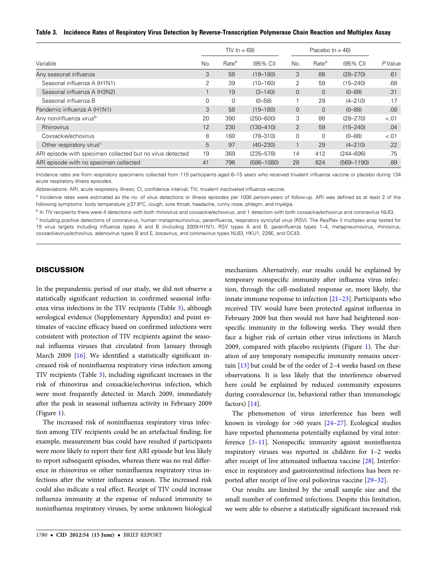## <span id="page-2-0"></span>Table 3. Incidence Rates of Respiratory Virus Detection by Reverse-Transcription Polymerase Chain Reaction and Multiplex Assay

|                                                           | TIV ( $n = 69$ ) |                   |                    | Placebo $(n = 46)$ |                   |                    |         |
|-----------------------------------------------------------|------------------|-------------------|--------------------|--------------------|-------------------|--------------------|---------|
| Variable                                                  | No.              | Rate <sup>a</sup> | $(95% \text{ Cl})$ | No.                | Rate <sup>a</sup> | $(95% \text{ Cl})$ | P Value |
| Any seasonal influenza                                    | 3                | 58                | $(19 - 180)$       | 3                  | 88                | $(28 - 270)$       | .61     |
| Seasonal influenza A (H1N1)                               | 2                | 39                | $(10 - 160)$       | 2                  | 59                | $(15 - 240)$       | .68     |
| Seasonal influenza A (H3N2)                               |                  | 19                | $(3 - 140)$        | $\overline{0}$     | $\overline{0}$    | $(0 - 88)$         | .31     |
| Seasonal influenza B                                      | $\Omega$         | $\mathbf 0$       | $(0 - 58)$         |                    | 29                | $(4 - 210)$        | .17     |
| Pandemic influenza A (H1N1)                               | 3                | 58                | $(19 - 180)$       | $\Omega$           | $\Omega$          | $(0 - 88)$         | .08     |
| Any noninfluenza virus <sup>b</sup>                       | 20               | 390               | $(250 - 600)$      | 3                  | 88                | $(28 - 270)$       | $-.01$  |
| Rhinovirus                                                | 12               | 230               | $(130 - 410)$      | 2                  | 59                | $(15 - 240)$       | .04     |
| Coxsackie/echovirus                                       | 8                | 160               | $(78 - 310)$       | $\mathbf 0$        | $\Omega$          | $(0 - 88)$         | < .01   |
| Other respiratory virus <sup>c</sup>                      | 5                | 97                | $(40 - 230)$       |                    | 29                | $(4 - 210)$        | .22     |
| ARI episode with specimen collected but no virus detected | 19               | 369               | $(235 - 578)$      | 14                 | 412               | $(244 - 696)$      | .75     |
| ARI episode with no specimen collected                    | 41               | 796               | $(586 - 1080)$     | 28                 | 824               | $(569 - 1190)$     | .89     |

Incidence rates are from respiratory specimens collected from 115 participants aged 6–15 years who received trivalent influenza vaccine or placebo during 134 acute respiratory illness episodes.

Abbreviations: ARI, acute respiratory illness; CI, confidence interval; TIV, trivalent inactivated influenza vaccine.

<sup>a</sup> Incidence rates were estimated as the no. of virus detections or illness episodes per 1000 person-years of follow-up. ARI was defined as at least 2 of the following symptoms: body temperature ≥37.8°C, cough, sore throat, headache, runny nose, phlegm, and myalgia.

<sup>b</sup> In TIV recipients there were 4 detections with both rhinovirus and coxsackie/echovirus, and 1 detection with both coxsackie/echovirus and coronavirus NL63.

<sup>c</sup> Including positive detections of coronavirus, human metapneumovirus, parainfluenza, respiratory syncytial virus (RSV). The ResPlex II multiplex array tested for 19 virus targets including influenza types A and B (including 2009-H1N1), RSV types A and B, parainfluenza types 1–4, metapneumovirus, rhinovirus, coxsackievirus/echovirus, adenovirus types B and E, bocavirus, and coronavirus types NL63, HKU1, 229E, and OC43.

## **DISCUSSION**

In the prepandemic period of our study, we did not observe a statistically significant reduction in confirmed seasonal influenza virus infections in the TIV recipients (Table 3), although serological evidence [\(Supplementary Appendix\)](http://cid.oxfordjournals.org/lookup/suppl/doi:10.1093/cid/cis307/-/DC1) and point estimates of vaccine efficacy based on confirmed infections were consistent with protection of TIV recipients against the seasonal influenza viruses that circulated from January through March 2009 [\[16](#page-4-0)]. We identified a statistically significant increased risk of noninfluenza respiratory virus infection among TIV recipients (Table 3), including significant increases in the risk of rhinovirus and coxsackie/echovirus infection, which were most frequently detected in March 2009, immediately after the peak in seasonal influenza activity in February 2009 (Figure [1](#page-3-0)).

The increased risk of noninfluenza respiratory virus infection among TIV recipients could be an artefactual finding; for example, measurement bias could have resulted if participants were more likely to report their first ARI episode but less likely to report subsequent episodes, whereas there was no real difference in rhinovirus or other noninfluenza respiratory virus infections after the winter influenza season. The increased risk could also indicate a real effect. Receipt of TIV could increase influenza immunity at the expense of reduced immunity to noninfluenza respiratory viruses, by some unknown biological mechanism. Alternatively, our results could be explained by temporary nonspecific immunity after influenza virus infection, through the cell-mediated response or, more likely, the innate immune response to infection [[21](#page-4-0)–[23](#page-4-0)]. Participants who received TIV would have been protected against influenza in February 2009 but then would not have had heightened nonspecific immunity in the following weeks. They would then face a higher risk of certain other virus infections in March 2009, compared with placebo recipients (Figure [1](#page-3-0)). The duration of any temporary nonspecific immunity remains uncertain [\[13\]](#page-4-0) but could be of the order of 2–4 weeks based on these observations. It is less likely that the interference observed here could be explained by reduced community exposures during convalescence (ie, behavioral rather than immunologic factors) [\[14](#page-4-0)].

The phenomenon of virus interference has been well known in virology for >60 years [[24](#page-4-0)–[27](#page-4-0)]. Ecological studies have reported phenomena potentially explained by viral interference [[3](#page-4-0)–[11](#page-4-0)]. Nonspecific immunity against noninfluenza respiratory viruses was reported in children for 1–2 weeks after receipt of live attenuated influenza vaccine [[28\]](#page-4-0). Interference in respiratory and gastrointestinal infections has been reported after receipt of live oral poliovirus vaccine [[29](#page-4-0)–[32\]](#page-4-0).

Our results are limited by the small sample size and the small number of confirmed infections. Despite this limitation, we were able to observe a statistically significant increased risk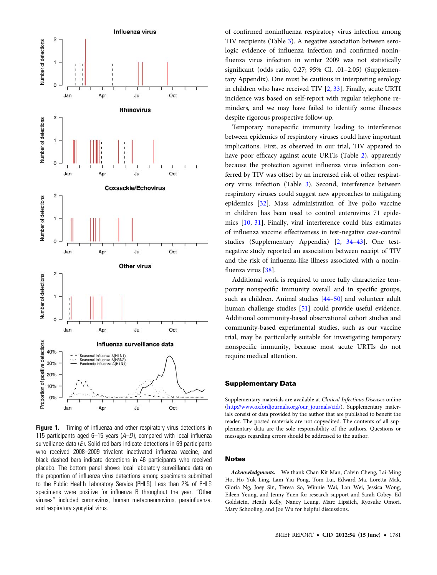<span id="page-3-0"></span>

**Figure 1.** Timing of influenza and other respiratory virus detections in 115 participants aged 6–15 years  $(A-D)$ , compared with local influenza surveillance data  $(E)$ . Solid red bars indicate detections in 69 participants who received 2008–2009 trivalent inactivated influenza vaccine, and black dashed bars indicate detections in 46 participants who received placebo. The bottom panel shows local laboratory surveillance data on the proportion of influenza virus detections among specimens submitted to the Public Health Laboratory Service (PHLS). Less than 2% of PHLS specimens were positive for influenza B throughout the year. "Other viruses" included coronavirus, human metapneumovirus, parainfluenza, and respiratory syncytial virus.

of confirmed noninfluenza respiratory virus infection among TIV recipients (Table [3\)](#page-2-0). A negative association between serologic evidence of influenza infection and confirmed noninfluenza virus infection in winter 2009 was not statistically significant (odds ratio, 0.27; 95% CI, .01–2.05) [\(Supplemen](http://cid.oxfordjournals.org/lookup/suppl/doi:10.1093/cid/cis307/-/DC1)[tary Appendix](http://cid.oxfordjournals.org/lookup/suppl/doi:10.1093/cid/cis307/-/DC1)). One must be cautious in interpreting serology in children who have received TIV [\[2,](#page-4-0) [33](#page-4-0)]. Finally, acute URTI incidence was based on self-report with regular telephone reminders, and we may have failed to identify some illnesses despite rigorous prospective follow-up.

Temporary nonspecific immunity leading to interference between epidemics of respiratory viruses could have important implications. First, as observed in our trial, TIV appeared to have poor efficacy against acute URTIs (Table [2\)](#page-1-0), apparently because the protection against influenza virus infection conferred by TIV was offset by an increased risk of other respiratory virus infection (Table [3](#page-2-0)). Second, interference between respiratory viruses could suggest new approaches to mitigating epidemics [\[32](#page-4-0)]. Mass administration of live polio vaccine in children has been used to control enterovirus 71 epidemics [\[10](#page-4-0), [31\]](#page-4-0). Finally, viral interference could bias estimates of influenza vaccine effectiveness in test-negative case-control studies [\(Supplementary Appendix](http://cid.oxfordjournals.org/lookup/suppl/doi:10.1093/cid/cis307/-/DC1)) [[2](#page-4-0), [34](#page-4-0)–[43\]](#page-5-0). One testnegative study reported an association between receipt of TIV and the risk of influenza-like illness associated with a noninfluenza virus [\[38](#page-5-0)].

Additional work is required to more fully characterize temporary nonspecific immunity overall and in specific groups, such as children. Animal studies [[44](#page-5-0)–[50\]](#page-5-0) and volunteer adult human challenge studies [[51\]](#page-5-0) could provide useful evidence. Additional community-based observational cohort studies and community-based experimental studies, such as our vaccine trial, may be particularly suitable for investigating temporary nonspecific immunity, because most acute URTIs do not require medical attention.

## Supplementary Data

Supplementary materials are available at Clinical Infectious Diseases online ([http://www.oxfordjournals.org/our\\_journals/cid/\)](http://www.oxfordjournals.org/our_journals/cid/). Supplementary materials consist of data provided by the author that are published to benefit the reader. The posted materials are not copyedited. The contents of all supplementary data are the sole responsibility of the authors. Questions or messages regarding errors should be addressed to the author.

# **Notes**

Acknowledgments. We thank Chan Kit Man, Calvin Cheng, Lai-Ming Ho, Ho Yuk Ling, Lam Yiu Pong, Tom Lui, Edward Ma, Loretta Mak, Gloria Ng, Joey Sin, Teresa So, Winnie Wai, Lan Wei, Jessica Wong, Eileen Yeung, and Jenny Yuen for research support and Sarah Cobey, Ed Goldstein, Heath Kelly, Nancy Leung, Marc Lipsitch, Ryosuke Omori, Mary Schooling, and Joe Wu for helpful discussions.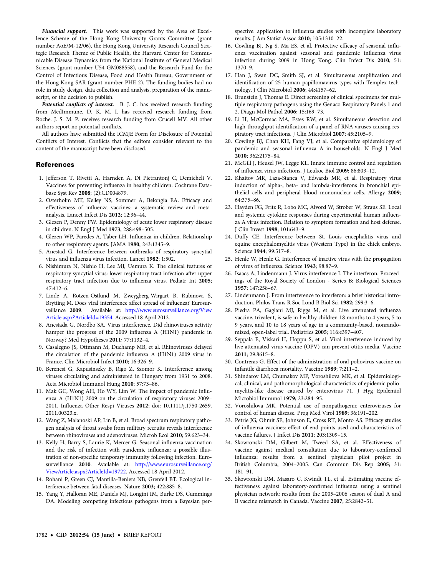<span id="page-4-0"></span>Financial support. This work was supported by the Area of Excellence Scheme of the Hong Kong University Grants Committee (grant number AoE/M-12/06), the Hong Kong University Research Council Strategic Research Theme of Public Health, the Harvard Center for Communicable Disease Dynamics from the National Institute of General Medical Sciences (grant number U54 GM088558), and the Research Fund for the Control of Infectious Disease, Food and Health Bureau, Government of the Hong Kong SAR (grant number PHE-2). The funding bodies had no role in study design, data collection and analysis, preparation of the manuscript, or the decision to publish.

Potential conflicts of interest. B. J. C. has received research funding from MedImmune. D. K. M. I. has received research funding from Roche. J. S. M. P. receives research funding from Crucell MV. All other authors report no potential conflicts.

All authors have submitted the ICMJE Form for Disclosure of Potential Conflicts of Interest. Conflicts that the editors consider relevant to the content of the manuscript have been disclosed.

## References

- 1. Jefferson T, Rivetti A, Harnden A, Di Pietrantonj C, Demicheli V. Vaccines for preventing influenza in healthy children. Cochrane Database Syst Rev 2008; (2):CD004879.
- 2. Osterholm MT, Kelley NS, Sommer A, Belongia EA. Efficacy and effectiveness of influenza vaccines: a systematic review and metaanalysis. Lancet Infect Dis 2012; 12:36–44.
- 3. Glezen P, Denny FW. Epidemiology of acute lower respiratory disease in children. N Engl J Med 1973; 288:498–505.
- 4. Glezen WP, Paredes A, Taber LH. Influenza in children. Relationship to other respiratory agents. JAMA 1980; 243:1345–9.
- 5. Anestad G. Interference between outbreaks of respiratory syncytial virus and influenza virus infection. Lancet 1982; 1:502.
- 6. Nishimura N, Nishio H, Lee MJ, Uemura K. The clinical features of respiratory syncytial virus: lower respiratory tract infection after upper respiratory tract infection due to influenza virus. Pediatr Int 2005; 47:412–6.
- 7. Linde A, Rotzen-Ostlund M, Zweygberg-Wirgart B, Rubinova S, Brytting M. Does viral interference affect spread of influenza? Eurosurveillance 2009. Available at: [http://www.eurosurveillance.org/View](http://www.eurosurveillance.org/ViewArticle.aspx?ArticleId=19354) [Article.aspx?ArticleId=19354.](http://www.eurosurveillance.org/ViewArticle.aspx?ArticleId=19354) Accessed 18 April 2012.
- 8. Anestada G, Nordbo SA. Virus interference. Did rhinoviruses activity hamper the progress of the 2009 influenza A (H1N1) pandemic in Norway? Med Hypotheses 2011; 77:1132–4.
- 9. Casalegno JS, Ottmann M, Duchamp MB, et al. Rhinoviruses delayed the circulation of the pandemic influenza A (H1N1) 2009 virus in France. Clin Microbiol Infect 2010; 16:326–9.
- 10. Berencsi G, Kapusinszky B, Rigo Z, Szomor K. Interference among viruses circulating and administered in Hungary from 1931 to 2008. Acta Microbiol Immunol Hung 2010; 57:73–86.
- 11. Mak GC, Wong AH, Ho WY, Lim W. The impact of pandemic influenza A (H1N1) 2009 on the circulation of respiratory viruses 2009– 2011. Influenza Other Respi Viruses 2012; doi: 10.1111/j.1750-2659. 2011.00323.x.
- 12. Wang Z, Malanoski AP, Lin B, et al. Broad spectrum respiratory pathogen analysis of throat swabs from military recruits reveals interference between rhinoviruses and adenoviruses. Microb Ecol 2010; 59:623–34.
- 13. Kelly H, Barry S, Laurie K, Mercer G. Seasonal influenza vaccination and the risk of infection with pandemic influenza: a possible illustration of non-specific temporary immunity following infection. Eurosurveillance 2010. Available at: [http://www.eurosurveillance.org/](http://www.eurosurveillance.org/ViewArticle.aspx?ArticleId=19722) [ViewArticle.aspx?ArticleId=19722](http://www.eurosurveillance.org/ViewArticle.aspx?ArticleId=19722). Accessed 18 April 2012.
- 14. Rohani P, Green CJ, Mantilla-Beniers NB, Grenfell BT. Ecological interference between fatal diseases. Nature 2003; 422:885–8.
- 15. Yang Y, Halloran ME, Daniels MJ, Longini IM, Burke DS, Cummings DA. Modeling competing infectious pathogens from a Bayesian per-

spective: application to influenza studies with incomplete laboratory results. J Am Statist Assoc 2010; 105:1310–22.

- 16. Cowling BJ, Ng S, Ma ES, et al. Protective efficacy of seasonal influenza vaccination against seasonal and pandemic influenza virus infection during 2009 in Hong Kong. Clin Infect Dis 2010; 51: 1370–9.
- 17. Han J, Swan DC, Smith SJ, et al. Simultaneous amplification and identification of 25 human papillomavirus types with Templex technology. J Clin Microbiol 2006; 44:4157–62.
- 18. Brunstein J, Thomas E. Direct screening of clinical specimens for multiple respiratory pathogens using the Genaco Respiratory Panels 1 and 2. Diagn Mol Pathol 2006; 15:169–73.
- 19. Li H, McCormac MA, Estes RW, et al. Simultaneous detection and high-throughput identification of a panel of RNA viruses causing respiratory tract infections. J Clin Microbiol 2007; 45:2105–9.
- 20. Cowling BJ, Chan KH, Fang VJ, et al. Comparative epidemiology of pandemic and seasonal influenza A in households. N Engl J Med 2010; 362:2175–84.
- 21. McGill J, Heusel JW, Legge KL. Innate immune control and regulation of influenza virus infections. J Leukoc Biol 2009; 86:803–12.
- 22. Khaitov MR, Laza-Stanca V, Edwards MR, et al. Respiratory virus induction of alpha-, beta- and lambda-interferons in bronchial epithelial cells and peripheral blood mononuclear cells. Allergy 2009; 64:375–86.
- 23. Hayden FG, Fritz R, Lobo MC, Alvord W, Strober W, Straus SE. Local and systemic cytokine responses during experimental human influenza A virus infection. Relation to symptom formation and host defense. J Clin Invest 1998; 101:643–9.
- 24. Duffy CE. Interference between St. Louis encephalitis virus and equine encephalomyelitis virus (Western Type) in the chick embryo. Science 1944; 99:517–8.
- 25. Henle W, Henle G. Interference of inactive virus with the propagation of virus of influenza. Science 1943; 98:87–9.
- 26. Isaacs A, Lindenmann J. Virus interference I. The interferon. Proceedings of the Royal Society of London - Series B: Biological Sciences 1957; 147:258–67.
- 27. Lindenmann J. From interference to interferon: a brief historical introduction. Philos Trans R Soc Lond B Biol Sci 1982; 299:3–6.
- 28. Piedra PA, Gaglani MJ, Riggs M, et al. Live attenuated influenza vaccine, trivalent, is safe in healthy children 18 months to 4 years, 5 to 9 years, and 10 to 18 years of age in a community-based, nonrandomized, open-label trial. Pediatrics 2005; 116:e397–407.
- 29. Seppala E, Viskari H, Hoppu S, et al. Viral interference induced by live attenuated virus vaccine (OPV) can prevent otitis media. Vaccine 2011; 29:8615–8.
- 30. Contreras G. Effect of the administration of oral poliovirus vaccine on infantile diarrhoea mortality. Vaccine 1989; 7:211–2.
- 31. Shindarov LM, Chumakov MP, Voroshilova MK, et al. Epidemiological, clinical, and pathomorphological characteristics of epidemic poliomyelitis-like disease caused by enterovirus 71. J Hyg Epidemiol Microbiol Immunol 1979; 23:284–95.
- 32. Voroshilova MK. Potential use of nonpathogenic enteroviruses for control of human disease. Prog Med Virol 1989; 36:191–202.
- 33. Petrie JG, Ohmit SE, Johnson E, Cross RT, Monto AS. Efficacy studies of influenza vaccines: effect of end points used and characteristics of vaccine failures. J Infect Dis 2011; 203:1309–15.
- 34. Skowronski DM, Gilbert M, Tweed SA, et al. Effectiveness of vaccine against medical consultation due to laboratory-confirmed influenza: results from a sentinel physician pilot project in British Columbia, 2004–2005. Can Commun Dis Rep 2005; 31: 181–91.
- 35. Skowronski DM, Masaro C, Kwindt TL, et al. Estimating vaccine effectiveness against laboratory-confirmed influenza using a sentinel physician network: results from the 2005–2006 season of dual A and B vaccine mismatch in Canada. Vaccine 2007; 25:2842–51.